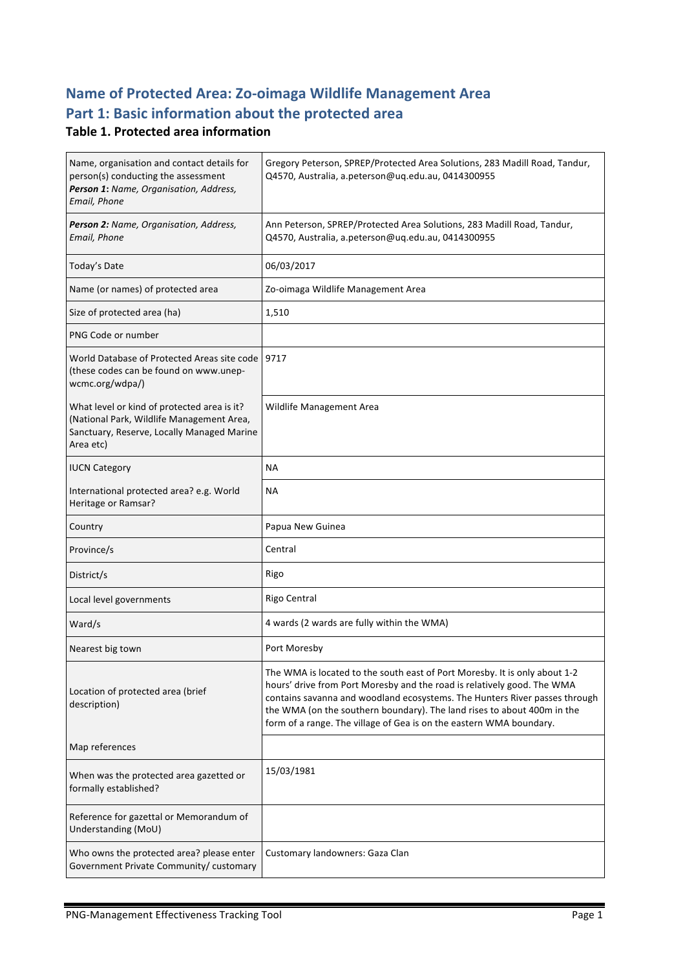# **Name of Protected Area: Zo-oimaga Wildlife Management Area** Part 1: Basic information about the protected area

### **Table 1. Protected area information**

| Name, organisation and contact details for<br>person(s) conducting the assessment<br>Person 1: Name, Organisation, Address,<br>Email, Phone         | Gregory Peterson, SPREP/Protected Area Solutions, 283 Madill Road, Tandur,<br>Q4570, Australia, a.peterson@uq.edu.au, 0414300955                                                                                                                                                                                                                                                      |  |  |
|-----------------------------------------------------------------------------------------------------------------------------------------------------|---------------------------------------------------------------------------------------------------------------------------------------------------------------------------------------------------------------------------------------------------------------------------------------------------------------------------------------------------------------------------------------|--|--|
| Person 2: Name, Organisation, Address,<br>Email, Phone                                                                                              | Ann Peterson, SPREP/Protected Area Solutions, 283 Madill Road, Tandur,<br>Q4570, Australia, a.peterson@uq.edu.au, 0414300955                                                                                                                                                                                                                                                          |  |  |
| Today's Date                                                                                                                                        | 06/03/2017                                                                                                                                                                                                                                                                                                                                                                            |  |  |
| Name (or names) of protected area                                                                                                                   | Zo-oimaga Wildlife Management Area                                                                                                                                                                                                                                                                                                                                                    |  |  |
| Size of protected area (ha)                                                                                                                         | 1,510                                                                                                                                                                                                                                                                                                                                                                                 |  |  |
| PNG Code or number                                                                                                                                  |                                                                                                                                                                                                                                                                                                                                                                                       |  |  |
| World Database of Protected Areas site code<br>(these codes can be found on www.unep-<br>wcmc.org/wdpa/)                                            | 9717                                                                                                                                                                                                                                                                                                                                                                                  |  |  |
| What level or kind of protected area is it?<br>(National Park, Wildlife Management Area,<br>Sanctuary, Reserve, Locally Managed Marine<br>Area etc) | <b>Wildlife Management Area</b>                                                                                                                                                                                                                                                                                                                                                       |  |  |
| <b>IUCN Category</b>                                                                                                                                | <b>NA</b>                                                                                                                                                                                                                                                                                                                                                                             |  |  |
| International protected area? e.g. World<br>Heritage or Ramsar?                                                                                     | <b>NA</b>                                                                                                                                                                                                                                                                                                                                                                             |  |  |
|                                                                                                                                                     |                                                                                                                                                                                                                                                                                                                                                                                       |  |  |
| Country                                                                                                                                             | Papua New Guinea                                                                                                                                                                                                                                                                                                                                                                      |  |  |
| Province/s                                                                                                                                          | Central                                                                                                                                                                                                                                                                                                                                                                               |  |  |
| District/s                                                                                                                                          | Rigo                                                                                                                                                                                                                                                                                                                                                                                  |  |  |
| Local level governments                                                                                                                             | Rigo Central                                                                                                                                                                                                                                                                                                                                                                          |  |  |
| Ward/s                                                                                                                                              | 4 wards (2 wards are fully within the WMA)                                                                                                                                                                                                                                                                                                                                            |  |  |
| Nearest big town                                                                                                                                    | Port Moresby                                                                                                                                                                                                                                                                                                                                                                          |  |  |
| Location of protected area (brief<br>description)                                                                                                   | The WMA is located to the south east of Port Moresby. It is only about 1-2<br>hours' drive from Port Moresby and the road is relatively good. The WMA<br>contains savanna and woodland ecosystems. The Hunters River passes through<br>the WMA (on the southern boundary). The land rises to about 400m in the<br>form of a range. The village of Gea is on the eastern WMA boundary. |  |  |
| Map references                                                                                                                                      |                                                                                                                                                                                                                                                                                                                                                                                       |  |  |
| When was the protected area gazetted or<br>formally established?                                                                                    | 15/03/1981                                                                                                                                                                                                                                                                                                                                                                            |  |  |
| Reference for gazettal or Memorandum of<br>Understanding (MoU)                                                                                      |                                                                                                                                                                                                                                                                                                                                                                                       |  |  |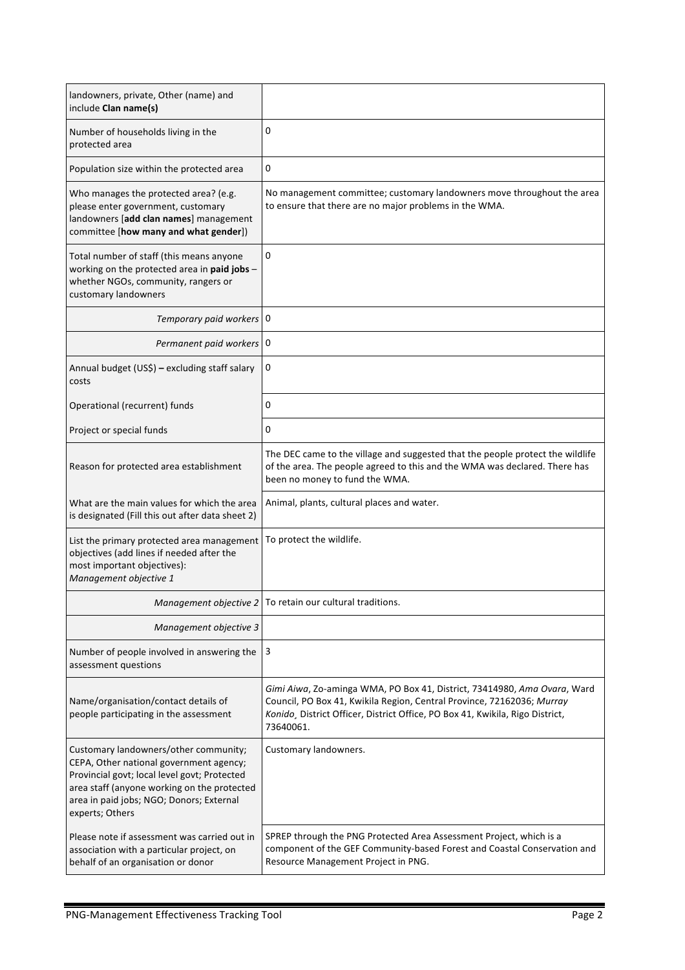| landowners, private, Other (name) and<br>include Clan name(s)                                                                                                                                                                                  |                                                                                                                                                                                                                                                  |  |
|------------------------------------------------------------------------------------------------------------------------------------------------------------------------------------------------------------------------------------------------|--------------------------------------------------------------------------------------------------------------------------------------------------------------------------------------------------------------------------------------------------|--|
| Number of households living in the<br>protected area                                                                                                                                                                                           | 0                                                                                                                                                                                                                                                |  |
| Population size within the protected area                                                                                                                                                                                                      | 0                                                                                                                                                                                                                                                |  |
| Who manages the protected area? (e.g.<br>please enter government, customary<br>landowners [add clan names] management<br>committee [how many and what gender])                                                                                 | No management committee; customary landowners move throughout the area<br>to ensure that there are no major problems in the WMA.                                                                                                                 |  |
| Total number of staff (this means anyone<br>working on the protected area in paid jobs -<br>whether NGOs, community, rangers or<br>customary landowners                                                                                        | 0                                                                                                                                                                                                                                                |  |
| Temporary paid workers   0                                                                                                                                                                                                                     |                                                                                                                                                                                                                                                  |  |
| Permanent paid workers   0                                                                                                                                                                                                                     |                                                                                                                                                                                                                                                  |  |
| Annual budget (US\$) - excluding staff salary<br>costs                                                                                                                                                                                         | 0                                                                                                                                                                                                                                                |  |
| Operational (recurrent) funds                                                                                                                                                                                                                  | 0                                                                                                                                                                                                                                                |  |
| Project or special funds                                                                                                                                                                                                                       | 0                                                                                                                                                                                                                                                |  |
| Reason for protected area establishment                                                                                                                                                                                                        | The DEC came to the village and suggested that the people protect the wildlife<br>of the area. The people agreed to this and the WMA was declared. There has<br>been no money to fund the WMA.                                                   |  |
| What are the main values for which the area<br>is designated (Fill this out after data sheet 2)                                                                                                                                                | Animal, plants, cultural places and water.                                                                                                                                                                                                       |  |
| List the primary protected area management<br>objectives (add lines if needed after the<br>most important objectives):<br>Management objective 1                                                                                               | To protect the wildlife.                                                                                                                                                                                                                         |  |
| Management objective 2                                                                                                                                                                                                                         | To retain our cultural traditions.                                                                                                                                                                                                               |  |
| Management objective 3                                                                                                                                                                                                                         |                                                                                                                                                                                                                                                  |  |
| Number of people involved in answering the<br>assessment questions                                                                                                                                                                             | 3                                                                                                                                                                                                                                                |  |
| Name/organisation/contact details of<br>people participating in the assessment                                                                                                                                                                 | Gimi Aiwa, Zo-aminga WMA, PO Box 41, District, 73414980, Ama Ovara, Ward<br>Council, PO Box 41, Kwikila Region, Central Province, 72162036; Murray<br>Konido, District Officer, District Office, PO Box 41, Kwikila, Rigo District,<br>73640061. |  |
| Customary landowners/other community;<br>CEPA, Other national government agency;<br>Provincial govt; local level govt; Protected<br>area staff (anyone working on the protected<br>area in paid jobs; NGO; Donors; External<br>experts; Others | Customary landowners.                                                                                                                                                                                                                            |  |
| Please note if assessment was carried out in<br>association with a particular project, on<br>behalf of an organisation or donor                                                                                                                | SPREP through the PNG Protected Area Assessment Project, which is a<br>component of the GEF Community-based Forest and Coastal Conservation and<br>Resource Management Project in PNG.                                                           |  |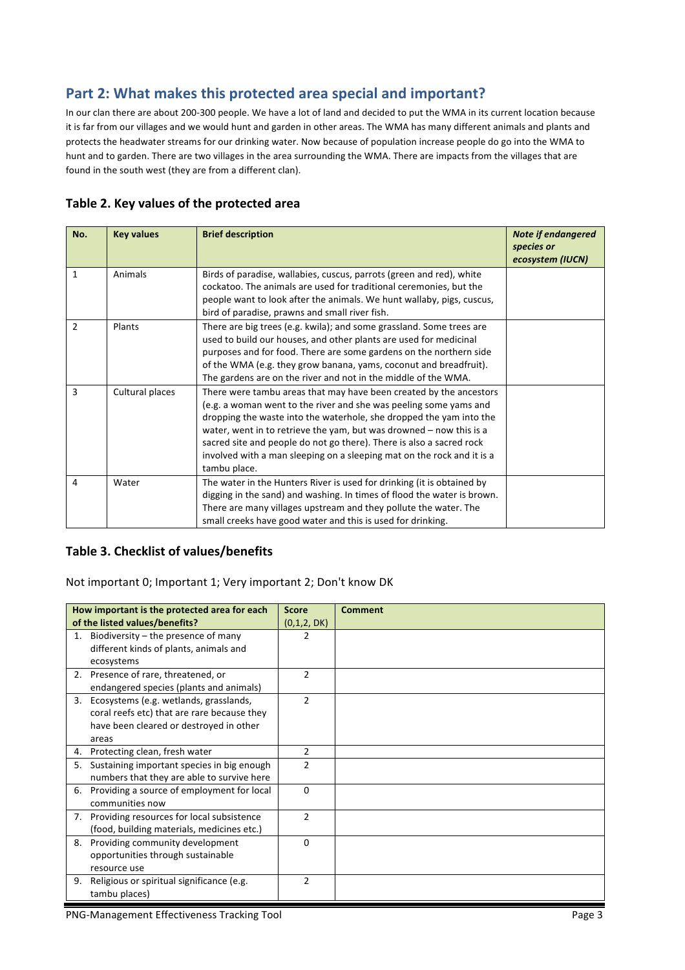# Part 2: What makes this protected area special and important?

In our clan there are about 200-300 people. We have a lot of land and decided to put the WMA in its current location because it is far from our villages and we would hunt and garden in other areas. The WMA has many different animals and plants and protects the headwater streams for our drinking water. Now because of population increase people do go into the WMA to hunt and to garden. There are two villages in the area surrounding the WMA. There are impacts from the villages that are found in the south west (they are from a different clan).

#### Table 2. Key values of the protected area

| No. | <b>Key values</b> | <b>Brief description</b>                                                                                                                                                                                                                                                                                                                                                                                                                                  | <b>Note if endangered</b><br>species or<br>ecosystem (IUCN) |
|-----|-------------------|-----------------------------------------------------------------------------------------------------------------------------------------------------------------------------------------------------------------------------------------------------------------------------------------------------------------------------------------------------------------------------------------------------------------------------------------------------------|-------------------------------------------------------------|
| 1   | Animals           | Birds of paradise, wallabies, cuscus, parrots (green and red), white<br>cockatoo. The animals are used for traditional ceremonies, but the<br>people want to look after the animals. We hunt wallaby, pigs, cuscus,<br>bird of paradise, prawns and small river fish.                                                                                                                                                                                     |                                                             |
| 2   | Plants            | There are big trees (e.g. kwila); and some grassland. Some trees are<br>used to build our houses, and other plants are used for medicinal<br>purposes and for food. There are some gardens on the northern side<br>of the WMA (e.g. they grow banana, yams, coconut and breadfruit).<br>The gardens are on the river and not in the middle of the WMA.                                                                                                    |                                                             |
| 3   | Cultural places   | There were tambu areas that may have been created by the ancestors<br>(e.g. a woman went to the river and she was peeling some yams and<br>dropping the waste into the waterhole, she dropped the yam into the<br>water, went in to retrieve the yam, but was drowned $-$ now this is a<br>sacred site and people do not go there). There is also a sacred rock<br>involved with a man sleeping on a sleeping mat on the rock and it is a<br>tambu place. |                                                             |
| 4   | Water             | The water in the Hunters River is used for drinking (it is obtained by<br>digging in the sand) and washing. In times of flood the water is brown.<br>There are many villages upstream and they pollute the water. The<br>small creeks have good water and this is used for drinking.                                                                                                                                                                      |                                                             |

#### **Table 3. Checklist of values/benefits**

Not important 0; Important 1; Very important 2; Don't know DK

|    | How important is the protected area for each                                                                                              | <b>Score</b>   | <b>Comment</b> |
|----|-------------------------------------------------------------------------------------------------------------------------------------------|----------------|----------------|
|    | of the listed values/benefits?                                                                                                            | (0,1,2, DK)    |                |
| 1. | Biodiversity – the presence of many<br>different kinds of plants, animals and                                                             | 2              |                |
|    | ecosystems<br>2. Presence of rare, threatened, or<br>endangered species (plants and animals)                                              | $\mathfrak{p}$ |                |
| 3. | Ecosystems (e.g. wetlands, grasslands,<br>coral reefs etc) that are rare because they<br>have been cleared or destroyed in other<br>areas | $\mathcal{P}$  |                |
| 4. | Protecting clean, fresh water                                                                                                             | $\overline{2}$ |                |
| 5. | Sustaining important species in big enough<br>numbers that they are able to survive here                                                  | $\overline{2}$ |                |
| 6. | Providing a source of employment for local<br>communities now                                                                             | 0              |                |
| 7. | Providing resources for local subsistence<br>(food, building materials, medicines etc.)                                                   | $\overline{2}$ |                |
| 8. | Providing community development<br>opportunities through sustainable<br>resource use                                                      | 0              |                |
| 9. | Religious or spiritual significance (e.g.<br>tambu places)                                                                                | $\overline{2}$ |                |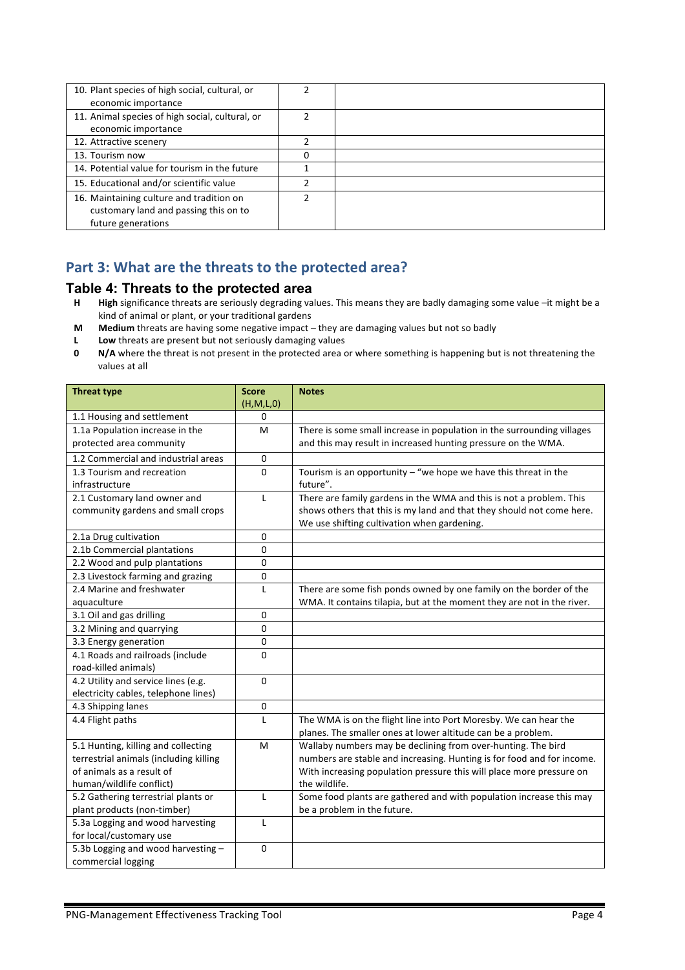| 10. Plant species of high social, cultural, or  |   |  |
|-------------------------------------------------|---|--|
| economic importance                             |   |  |
| 11. Animal species of high social, cultural, or | 2 |  |
| economic importance                             |   |  |
| 12. Attractive scenery                          |   |  |
| 13. Tourism now                                 | 0 |  |
| 14. Potential value for tourism in the future   |   |  |
| 15. Educational and/or scientific value         | ำ |  |
| 16. Maintaining culture and tradition on        | ำ |  |
| customary land and passing this on to           |   |  |
| future generations                              |   |  |

# Part 3: What are the threats to the protected area?

# **Table 4: Threats to the protected area**<br>**H** High significance threats are seriously degrading va

- High significance threats are seriously degrading values. This means they are badly damaging some value –it might be a kind of animal or plant, or your traditional gardens
- **M** Medium threats are having some negative impact they are damaging values but not so badly
- **L** Low threats are present but not seriously damaging values
- **0 N/A** where the threat is not present in the protected area or where something is happening but is not threatening the values at all

| <b>Threat type</b>                     | <b>Score</b> | <b>Notes</b>                                                           |
|----------------------------------------|--------------|------------------------------------------------------------------------|
|                                        | (H,M,L,0)    |                                                                        |
| 1.1 Housing and settlement             | 0            |                                                                        |
| 1.1a Population increase in the        | M            | There is some small increase in population in the surrounding villages |
| protected area community               |              | and this may result in increased hunting pressure on the WMA.          |
| 1.2 Commercial and industrial areas    | $\mathbf 0$  |                                                                        |
| 1.3 Tourism and recreation             | $\Omega$     | Tourism is an opportunity $-$ "we hope we have this threat in the      |
| infrastructure                         |              | future".                                                               |
| 2.1 Customary land owner and           | L            | There are family gardens in the WMA and this is not a problem. This    |
| community gardens and small crops      |              | shows others that this is my land and that they should not come here.  |
|                                        |              | We use shifting cultivation when gardening.                            |
| 2.1a Drug cultivation                  | $\Omega$     |                                                                        |
| 2.1b Commercial plantations            | $\mathbf{0}$ |                                                                        |
| 2.2 Wood and pulp plantations          | 0            |                                                                        |
| 2.3 Livestock farming and grazing      | 0            |                                                                        |
| 2.4 Marine and freshwater              | L            | There are some fish ponds owned by one family on the border of the     |
| aquaculture                            |              | WMA. It contains tilapia, but at the moment they are not in the river. |
| 3.1 Oil and gas drilling               | 0            |                                                                        |
| 3.2 Mining and quarrying               | $\mathbf 0$  |                                                                        |
| 3.3 Energy generation                  | $\mathbf 0$  |                                                                        |
| 4.1 Roads and railroads (include       | $\Omega$     |                                                                        |
| road-killed animals)                   |              |                                                                        |
| 4.2 Utility and service lines (e.g.    | $\Omega$     |                                                                        |
| electricity cables, telephone lines)   |              |                                                                        |
| 4.3 Shipping lanes                     | $\mathbf 0$  |                                                                        |
| 4.4 Flight paths                       | $\mathsf{L}$ | The WMA is on the flight line into Port Moresby. We can hear the       |
|                                        |              | planes. The smaller ones at lower altitude can be a problem.           |
| 5.1 Hunting, killing and collecting    | M            | Wallaby numbers may be declining from over-hunting. The bird           |
| terrestrial animals (including killing |              | numbers are stable and increasing. Hunting is for food and for income. |
| of animals as a result of              |              | With increasing population pressure this will place more pressure on   |
| human/wildlife conflict)               |              | the wildlife.                                                          |
| 5.2 Gathering terrestrial plants or    | $\mathbf{I}$ | Some food plants are gathered and with population increase this may    |
| plant products (non-timber)            |              | be a problem in the future.                                            |
| 5.3a Logging and wood harvesting       | $\mathbf{I}$ |                                                                        |
| for local/customary use                |              |                                                                        |
| 5.3b Logging and wood harvesting -     | $\Omega$     |                                                                        |
| commercial logging                     |              |                                                                        |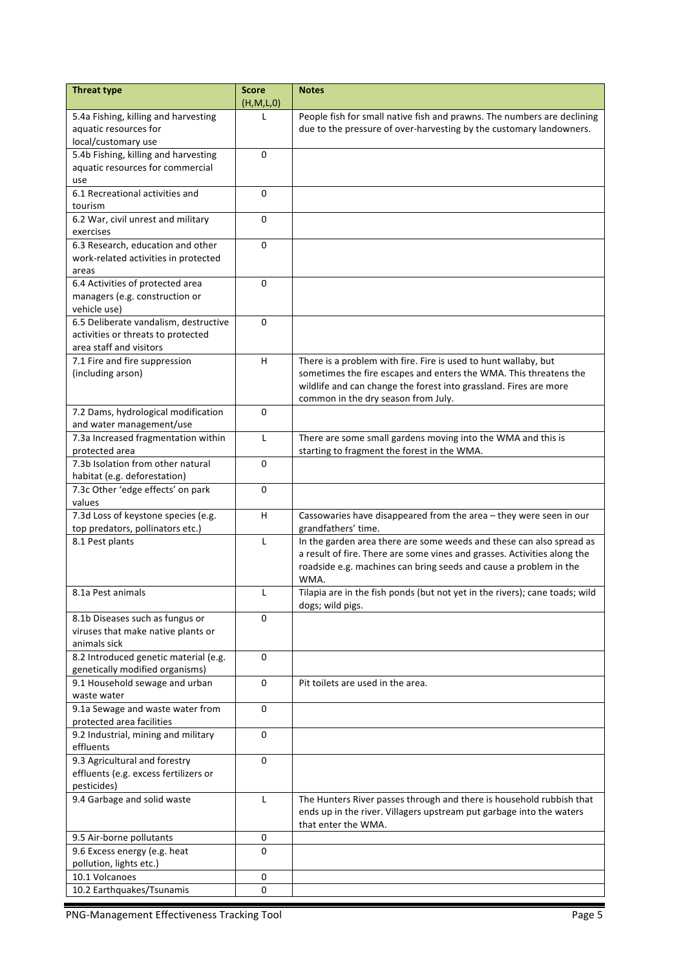| <b>Threat type</b>                                            | <b>Score</b> | <b>Notes</b>                                                                |
|---------------------------------------------------------------|--------------|-----------------------------------------------------------------------------|
|                                                               | (H,M,L,0)    |                                                                             |
| 5.4a Fishing, killing and harvesting                          |              | People fish for small native fish and prawns. The numbers are declining     |
| aquatic resources for                                         |              | due to the pressure of over-harvesting by the customary landowners.         |
| local/customary use                                           |              |                                                                             |
| 5.4b Fishing, killing and harvesting                          | 0            |                                                                             |
| aquatic resources for commercial                              |              |                                                                             |
| use                                                           |              |                                                                             |
| 6.1 Recreational activities and                               | $\Omega$     |                                                                             |
| tourism                                                       |              |                                                                             |
| 6.2 War, civil unrest and military                            | $\Omega$     |                                                                             |
| exercises                                                     |              |                                                                             |
| 6.3 Research, education and other                             | 0            |                                                                             |
| work-related activities in protected                          |              |                                                                             |
| areas                                                         |              |                                                                             |
| 6.4 Activities of protected area                              | 0            |                                                                             |
| managers (e.g. construction or                                |              |                                                                             |
| vehicle use)                                                  |              |                                                                             |
| 6.5 Deliberate vandalism, destructive                         | $\Omega$     |                                                                             |
| activities or threats to protected<br>area staff and visitors |              |                                                                             |
|                                                               |              |                                                                             |
| 7.1 Fire and fire suppression                                 | H            | There is a problem with fire. Fire is used to hunt wallaby, but             |
| (including arson)                                             |              | sometimes the fire escapes and enters the WMA. This threatens the           |
|                                                               |              | wildlife and can change the forest into grassland. Fires are more           |
|                                                               |              | common in the dry season from July.                                         |
| 7.2 Dams, hydrological modification                           | $\Omega$     |                                                                             |
| and water management/use                                      |              |                                                                             |
| 7.3a Increased fragmentation within                           | L            | There are some small gardens moving into the WMA and this is                |
| protected area                                                |              | starting to fragment the forest in the WMA.                                 |
| 7.3b Isolation from other natural                             | $\Omega$     |                                                                             |
| habitat (e.g. deforestation)                                  |              |                                                                             |
| 7.3c Other 'edge effects' on park                             | $\Omega$     |                                                                             |
| values                                                        |              |                                                                             |
| 7.3d Loss of keystone species (e.g.                           | H.           | Cassowaries have disappeared from the area - they were seen in our          |
| top predators, pollinators etc.)                              |              | grandfathers' time.                                                         |
| 8.1 Pest plants                                               | L            | In the garden area there are some weeds and these can also spread as        |
|                                                               |              | a result of fire. There are some vines and grasses. Activities along the    |
|                                                               |              | roadside e.g. machines can bring seeds and cause a problem in the           |
|                                                               |              | WMA.                                                                        |
| 8.1a Pest animals                                             | L            | Tilapia are in the fish ponds (but not yet in the rivers); cane toads; wild |
|                                                               |              | dogs; wild pigs.                                                            |
| 8.1b Diseases such as fungus or                               | $\Omega$     |                                                                             |
| viruses that make native plants or                            |              |                                                                             |
| animals sick                                                  |              |                                                                             |
| 8.2 Introduced genetic material (e.g.                         | $\Omega$     |                                                                             |
| genetically modified organisms)                               |              |                                                                             |
| 9.1 Household sewage and urban                                | $\Omega$     | Pit toilets are used in the area.                                           |
| waste water                                                   |              |                                                                             |
| 9.1a Sewage and waste water from                              | 0            |                                                                             |
| protected area facilities                                     |              |                                                                             |
| 9.2 Industrial, mining and military                           | 0            |                                                                             |
| effluents                                                     |              |                                                                             |
| 9.3 Agricultural and forestry                                 | $\Omega$     |                                                                             |
| effluents (e.g. excess fertilizers or                         |              |                                                                             |
| pesticides)                                                   |              |                                                                             |
| 9.4 Garbage and solid waste                                   | L            | The Hunters River passes through and there is household rubbish that        |
|                                                               |              | ends up in the river. Villagers upstream put garbage into the waters        |
|                                                               |              | that enter the WMA.                                                         |
| 9.5 Air-borne pollutants                                      | 0            |                                                                             |
| 9.6 Excess energy (e.g. heat                                  | $\Omega$     |                                                                             |
| pollution, lights etc.)                                       |              |                                                                             |
| 10.1 Volcanoes                                                | 0            |                                                                             |
| 10.2 Earthquakes/Tsunamis                                     | 0            |                                                                             |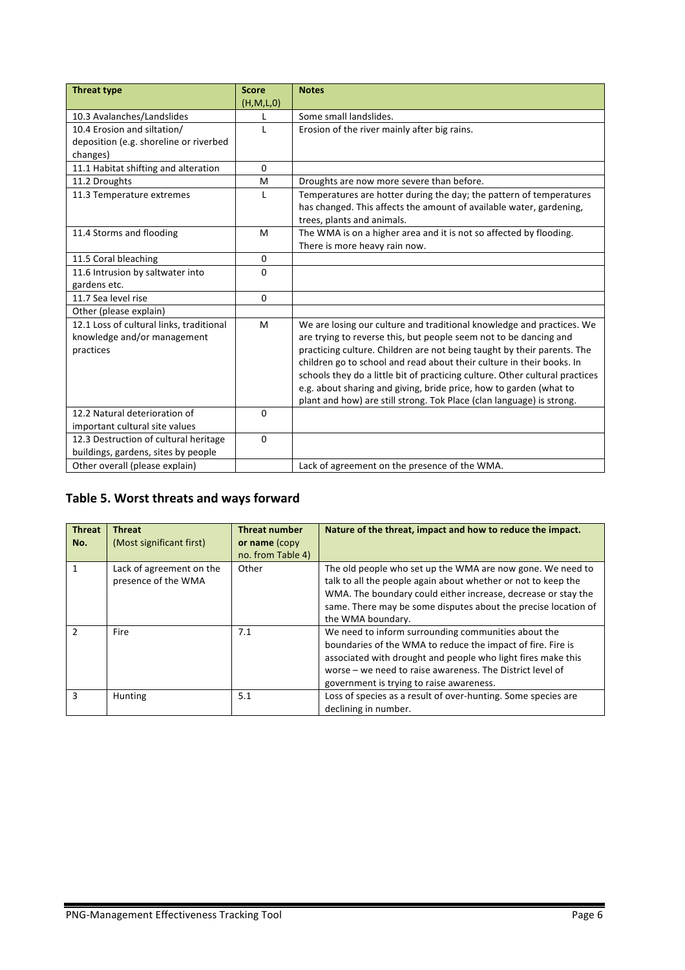| <b>Threat type</b>                       | <b>Score</b> | <b>Notes</b>                                                                 |
|------------------------------------------|--------------|------------------------------------------------------------------------------|
|                                          | (H, M, L, 0) |                                                                              |
| 10.3 Avalanches/Landslides               | L            | Some small landslides.                                                       |
| 10.4 Erosion and siltation/              | L            | Erosion of the river mainly after big rains.                                 |
| deposition (e.g. shoreline or riverbed   |              |                                                                              |
| changes)                                 |              |                                                                              |
| 11.1 Habitat shifting and alteration     | $\mathbf{0}$ |                                                                              |
| 11.2 Droughts                            | M            | Droughts are now more severe than before.                                    |
| 11.3 Temperature extremes                | $\mathbf{L}$ | Temperatures are hotter during the day; the pattern of temperatures          |
|                                          |              | has changed. This affects the amount of available water, gardening,          |
|                                          |              | trees, plants and animals.                                                   |
| 11.4 Storms and flooding                 | M            | The WMA is on a higher area and it is not so affected by flooding.           |
|                                          |              | There is more heavy rain now.                                                |
| 11.5 Coral bleaching                     | $\mathbf{0}$ |                                                                              |
| 11.6 Intrusion by saltwater into         | 0            |                                                                              |
| gardens etc.                             |              |                                                                              |
| 11.7 Sea level rise                      | $\mathbf{0}$ |                                                                              |
| Other (please explain)                   |              |                                                                              |
| 12.1 Loss of cultural links, traditional | M            | We are losing our culture and traditional knowledge and practices. We        |
| knowledge and/or management              |              | are trying to reverse this, but people seem not to be dancing and            |
| practices                                |              | practicing culture. Children are not being taught by their parents. The      |
|                                          |              | children go to school and read about their culture in their books. In        |
|                                          |              | schools they do a little bit of practicing culture. Other cultural practices |
|                                          |              | e.g. about sharing and giving, bride price, how to garden (what to           |
|                                          |              | plant and how) are still strong. Tok Place (clan language) is strong.        |
| 12.2 Natural deterioration of            | 0            |                                                                              |
| important cultural site values           |              |                                                                              |
| 12.3 Destruction of cultural heritage    | $\Omega$     |                                                                              |
| buildings, gardens, sites by people      |              |                                                                              |
| Other overall (please explain)           |              | Lack of agreement on the presence of the WMA.                                |

## Table 5. Worst threats and ways forward

| <b>Threat</b><br>No. | <b>Threat</b><br>(Most significant first)       | <b>Threat number</b><br>or name (copy<br>no. from Table 4) | Nature of the threat, impact and how to reduce the impact.                                                                                                                                                                                                                                  |
|----------------------|-------------------------------------------------|------------------------------------------------------------|---------------------------------------------------------------------------------------------------------------------------------------------------------------------------------------------------------------------------------------------------------------------------------------------|
|                      | Lack of agreement on the<br>presence of the WMA | Other                                                      | The old people who set up the WMA are now gone. We need to<br>talk to all the people again about whether or not to keep the<br>WMA. The boundary could either increase, decrease or stay the<br>same. There may be some disputes about the precise location of<br>the WMA boundary.         |
| $\mathcal{P}$        | Fire                                            | 7.1                                                        | We need to inform surrounding communities about the<br>boundaries of the WMA to reduce the impact of fire. Fire is<br>associated with drought and people who light fires make this<br>worse – we need to raise awareness. The District level of<br>government is trying to raise awareness. |
| 3                    | Hunting                                         | 5.1                                                        | Loss of species as a result of over-hunting. Some species are<br>declining in number.                                                                                                                                                                                                       |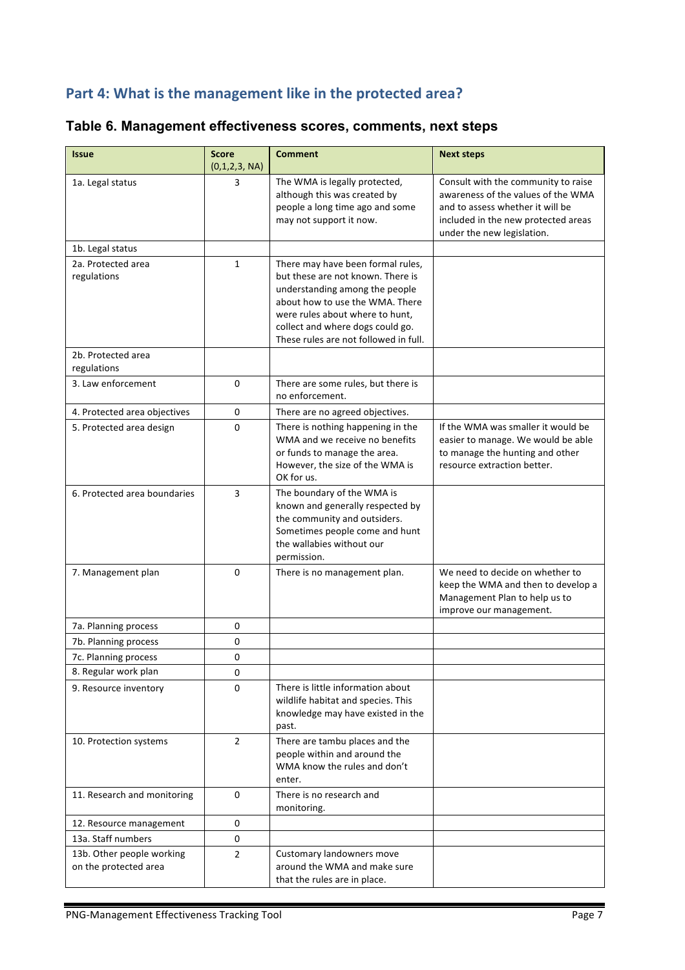# Part 4: What is the management like in the protected area?

# **Table 6. Management effectiveness scores, comments, next steps**

| <b>Issue</b>                                       | <b>Score</b><br>(0,1,2,3, NA) | <b>Comment</b>                                                                                                                                                                                                                                              | <b>Next steps</b>                                                                                                                                                                  |
|----------------------------------------------------|-------------------------------|-------------------------------------------------------------------------------------------------------------------------------------------------------------------------------------------------------------------------------------------------------------|------------------------------------------------------------------------------------------------------------------------------------------------------------------------------------|
| 1a. Legal status                                   | 3                             | The WMA is legally protected,<br>although this was created by<br>people a long time ago and some<br>may not support it now.                                                                                                                                 | Consult with the community to raise<br>awareness of the values of the WMA<br>and to assess whether it will be<br>included in the new protected areas<br>under the new legislation. |
| 1b. Legal status                                   |                               |                                                                                                                                                                                                                                                             |                                                                                                                                                                                    |
| 2a. Protected area<br>regulations                  | $\mathbf{1}$                  | There may have been formal rules,<br>but these are not known. There is<br>understanding among the people<br>about how to use the WMA. There<br>were rules about where to hunt,<br>collect and where dogs could go.<br>These rules are not followed in full. |                                                                                                                                                                                    |
| 2b. Protected area<br>regulations                  |                               |                                                                                                                                                                                                                                                             |                                                                                                                                                                                    |
| 3. Law enforcement                                 | 0                             | There are some rules, but there is<br>no enforcement.                                                                                                                                                                                                       |                                                                                                                                                                                    |
| 4. Protected area objectives                       | 0                             | There are no agreed objectives.                                                                                                                                                                                                                             |                                                                                                                                                                                    |
| 5. Protected area design                           | 0                             | There is nothing happening in the<br>WMA and we receive no benefits<br>or funds to manage the area.<br>However, the size of the WMA is<br>OK for us.                                                                                                        | If the WMA was smaller it would be<br>easier to manage. We would be able<br>to manage the hunting and other<br>resource extraction better.                                         |
| 6. Protected area boundaries                       | 3                             | The boundary of the WMA is<br>known and generally respected by<br>the community and outsiders.<br>Sometimes people come and hunt<br>the wallabies without our<br>permission.                                                                                |                                                                                                                                                                                    |
| 7. Management plan                                 | $\Omega$                      | There is no management plan.                                                                                                                                                                                                                                | We need to decide on whether to<br>keep the WMA and then to develop a<br>Management Plan to help us to<br>improve our management.                                                  |
| 7a. Planning process                               | 0                             |                                                                                                                                                                                                                                                             |                                                                                                                                                                                    |
| 7b. Planning process                               | 0                             |                                                                                                                                                                                                                                                             |                                                                                                                                                                                    |
| 7c. Planning process                               | 0                             |                                                                                                                                                                                                                                                             |                                                                                                                                                                                    |
| 8. Regular work plan                               | 0                             |                                                                                                                                                                                                                                                             |                                                                                                                                                                                    |
| 9. Resource inventory                              | 0                             | There is little information about<br>wildlife habitat and species. This<br>knowledge may have existed in the<br>past.                                                                                                                                       |                                                                                                                                                                                    |
| 10. Protection systems                             | $\overline{2}$                | There are tambu places and the<br>people within and around the<br>WMA know the rules and don't<br>enter.                                                                                                                                                    |                                                                                                                                                                                    |
| 11. Research and monitoring                        | 0                             | There is no research and<br>monitoring.                                                                                                                                                                                                                     |                                                                                                                                                                                    |
| 12. Resource management                            | 0                             |                                                                                                                                                                                                                                                             |                                                                                                                                                                                    |
| 13a. Staff numbers                                 | 0                             |                                                                                                                                                                                                                                                             |                                                                                                                                                                                    |
| 13b. Other people working<br>on the protected area | $\overline{2}$                | Customary landowners move<br>around the WMA and make sure<br>that the rules are in place.                                                                                                                                                                   |                                                                                                                                                                                    |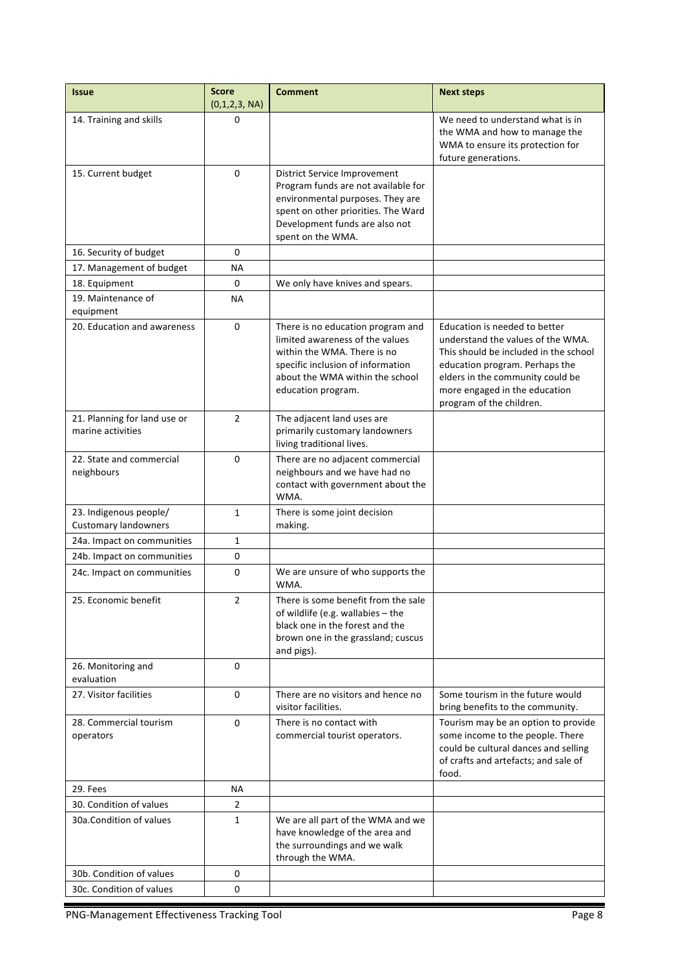| <b>Issue</b>                                          | <b>Score</b><br>(0,1,2,3, NA) | <b>Comment</b>                                                                                                                                                                                        | <b>Next steps</b>                                                                                                                                                                                                                              |
|-------------------------------------------------------|-------------------------------|-------------------------------------------------------------------------------------------------------------------------------------------------------------------------------------------------------|------------------------------------------------------------------------------------------------------------------------------------------------------------------------------------------------------------------------------------------------|
| 14. Training and skills                               | 0                             |                                                                                                                                                                                                       | We need to understand what is in<br>the WMA and how to manage the<br>WMA to ensure its protection for<br>future generations.                                                                                                                   |
| 15. Current budget                                    | 0                             | District Service Improvement<br>Program funds are not available for<br>environmental purposes. They are<br>spent on other priorities. The Ward<br>Development funds are also not<br>spent on the WMA. |                                                                                                                                                                                                                                                |
| 16. Security of budget                                | 0                             |                                                                                                                                                                                                       |                                                                                                                                                                                                                                                |
| 17. Management of budget                              | <b>NA</b>                     |                                                                                                                                                                                                       |                                                                                                                                                                                                                                                |
| 18. Equipment                                         | 0                             | We only have knives and spears.                                                                                                                                                                       |                                                                                                                                                                                                                                                |
| 19. Maintenance of<br>equipment                       | <b>NA</b>                     |                                                                                                                                                                                                       |                                                                                                                                                                                                                                                |
| 20. Education and awareness                           | 0                             | There is no education program and<br>limited awareness of the values<br>within the WMA. There is no<br>specific inclusion of information<br>about the WMA within the school<br>education program.     | Education is needed to better<br>understand the values of the WMA.<br>This should be included in the school<br>education program. Perhaps the<br>elders in the community could be<br>more engaged in the education<br>program of the children. |
| 21. Planning for land use or<br>marine activities     | $\overline{2}$                | The adjacent land uses are<br>primarily customary landowners<br>living traditional lives.                                                                                                             |                                                                                                                                                                                                                                                |
| 22. State and commercial<br>neighbours                | 0                             | There are no adjacent commercial<br>neighbours and we have had no<br>contact with government about the<br>WMA.                                                                                        |                                                                                                                                                                                                                                                |
| 23. Indigenous people/<br><b>Customary landowners</b> | $\mathbf{1}$                  | There is some joint decision<br>making.                                                                                                                                                               |                                                                                                                                                                                                                                                |
| 24a. Impact on communities                            | 1                             |                                                                                                                                                                                                       |                                                                                                                                                                                                                                                |
| 24b. Impact on communities                            | 0                             |                                                                                                                                                                                                       |                                                                                                                                                                                                                                                |
| 24c. Impact on communities                            | 0                             | We are unsure of who supports the<br>WMA.                                                                                                                                                             |                                                                                                                                                                                                                                                |
| 25. Economic benefit                                  | 2                             | There is some benefit from the sale<br>of wildlife (e.g. wallabies $-$ the<br>black one in the forest and the<br>brown one in the grassland; cuscus<br>and pigs).                                     |                                                                                                                                                                                                                                                |
| 26. Monitoring and<br>evaluation                      | 0                             |                                                                                                                                                                                                       |                                                                                                                                                                                                                                                |
| 27. Visitor facilities                                | 0                             | There are no visitors and hence no<br>visitor facilities.                                                                                                                                             | Some tourism in the future would<br>bring benefits to the community.                                                                                                                                                                           |
| 28. Commercial tourism<br>operators                   | $\Omega$                      | There is no contact with<br>commercial tourist operators.                                                                                                                                             | Tourism may be an option to provide<br>some income to the people. There<br>could be cultural dances and selling<br>of crafts and artefacts; and sale of<br>food.                                                                               |
| 29. Fees                                              | <b>NA</b>                     |                                                                                                                                                                                                       |                                                                                                                                                                                                                                                |
| 30. Condition of values                               | $\overline{2}$                |                                                                                                                                                                                                       |                                                                                                                                                                                                                                                |
| 30a. Condition of values                              | $\mathbf{1}$                  | We are all part of the WMA and we<br>have knowledge of the area and<br>the surroundings and we walk<br>through the WMA.                                                                               |                                                                                                                                                                                                                                                |
| 30b. Condition of values                              | 0                             |                                                                                                                                                                                                       |                                                                                                                                                                                                                                                |
| 30c. Condition of values                              | 0                             |                                                                                                                                                                                                       |                                                                                                                                                                                                                                                |